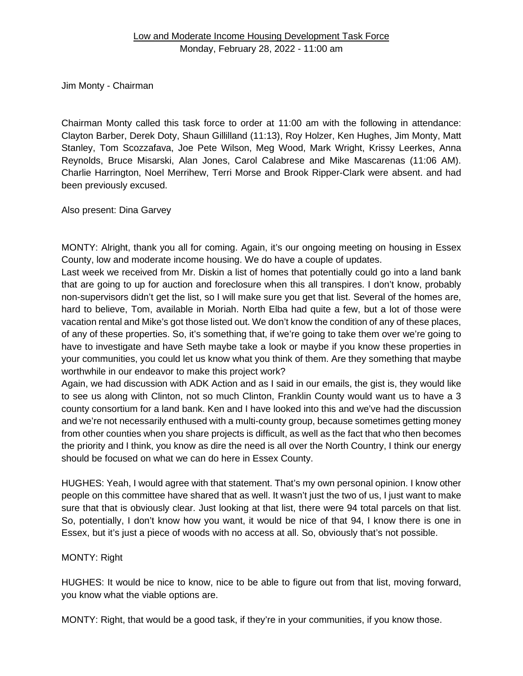Jim Monty - Chairman

Chairman Monty called this task force to order at 11:00 am with the following in attendance: Clayton Barber, Derek Doty, Shaun Gillilland (11:13), Roy Holzer, Ken Hughes, Jim Monty, Matt Stanley, Tom Scozzafava, Joe Pete Wilson, Meg Wood, Mark Wright, Krissy Leerkes, Anna Reynolds, Bruce Misarski, Alan Jones, Carol Calabrese and Mike Mascarenas (11:06 AM). Charlie Harrington, Noel Merrihew, Terri Morse and Brook Ripper-Clark were absent. and had been previously excused.

Also present: Dina Garvey

MONTY: Alright, thank you all for coming. Again, it's our ongoing meeting on housing in Essex County, low and moderate income housing. We do have a couple of updates.

Last week we received from Mr. Diskin a list of homes that potentially could go into a land bank that are going to up for auction and foreclosure when this all transpires. I don't know, probably non-supervisors didn't get the list, so I will make sure you get that list. Several of the homes are, hard to believe, Tom, available in Moriah. North Elba had quite a few, but a lot of those were vacation rental and Mike's got those listed out. We don't know the condition of any of these places, of any of these properties. So, it's something that, if we're going to take them over we're going to have to investigate and have Seth maybe take a look or maybe if you know these properties in your communities, you could let us know what you think of them. Are they something that maybe worthwhile in our endeavor to make this project work?

Again, we had discussion with ADK Action and as I said in our emails, the gist is, they would like to see us along with Clinton, not so much Clinton, Franklin County would want us to have a 3 county consortium for a land bank. Ken and I have looked into this and we've had the discussion and we're not necessarily enthused with a multi-county group, because sometimes getting money from other counties when you share projects is difficult, as well as the fact that who then becomes the priority and I think, you know as dire the need is all over the North Country, I think our energy should be focused on what we can do here in Essex County.

HUGHES: Yeah, I would agree with that statement. That's my own personal opinion. I know other people on this committee have shared that as well. It wasn't just the two of us, I just want to make sure that that is obviously clear. Just looking at that list, there were 94 total parcels on that list. So, potentially, I don't know how you want, it would be nice of that 94, I know there is one in Essex, but it's just a piece of woods with no access at all. So, obviously that's not possible.

# MONTY: Right

HUGHES: It would be nice to know, nice to be able to figure out from that list, moving forward, you know what the viable options are.

MONTY: Right, that would be a good task, if they're in your communities, if you know those.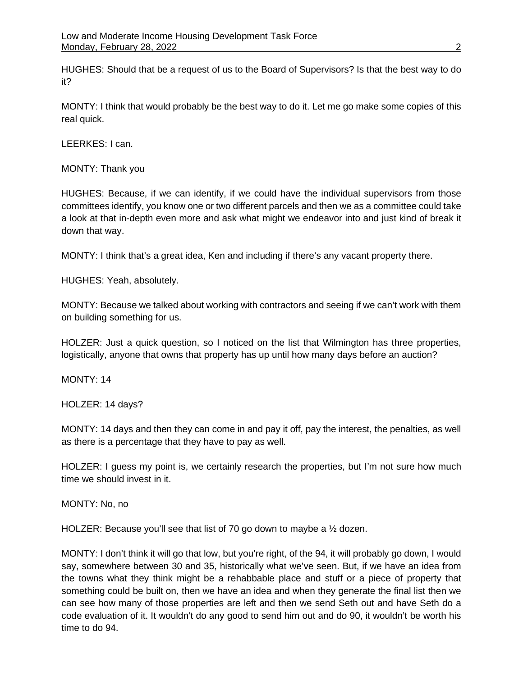HUGHES: Should that be a request of us to the Board of Supervisors? Is that the best way to do it?

MONTY: I think that would probably be the best way to do it. Let me go make some copies of this real quick.

LEERKES: I can.

MONTY: Thank you

HUGHES: Because, if we can identify, if we could have the individual supervisors from those committees identify, you know one or two different parcels and then we as a committee could take a look at that in-depth even more and ask what might we endeavor into and just kind of break it down that way.

MONTY: I think that's a great idea, Ken and including if there's any vacant property there.

HUGHES: Yeah, absolutely.

MONTY: Because we talked about working with contractors and seeing if we can't work with them on building something for us.

HOLZER: Just a quick question, so I noticed on the list that Wilmington has three properties, logistically, anyone that owns that property has up until how many days before an auction?

MONTY: 14

HOLZER: 14 days?

MONTY: 14 days and then they can come in and pay it off, pay the interest, the penalties, as well as there is a percentage that they have to pay as well.

HOLZER: I guess my point is, we certainly research the properties, but I'm not sure how much time we should invest in it.

MONTY: No, no

HOLZER: Because you'll see that list of 70 go down to maybe a 1/2 dozen.

MONTY: I don't think it will go that low, but you're right, of the 94, it will probably go down, I would say, somewhere between 30 and 35, historically what we've seen. But, if we have an idea from the towns what they think might be a rehabbable place and stuff or a piece of property that something could be built on, then we have an idea and when they generate the final list then we can see how many of those properties are left and then we send Seth out and have Seth do a code evaluation of it. It wouldn't do any good to send him out and do 90, it wouldn't be worth his time to do 94.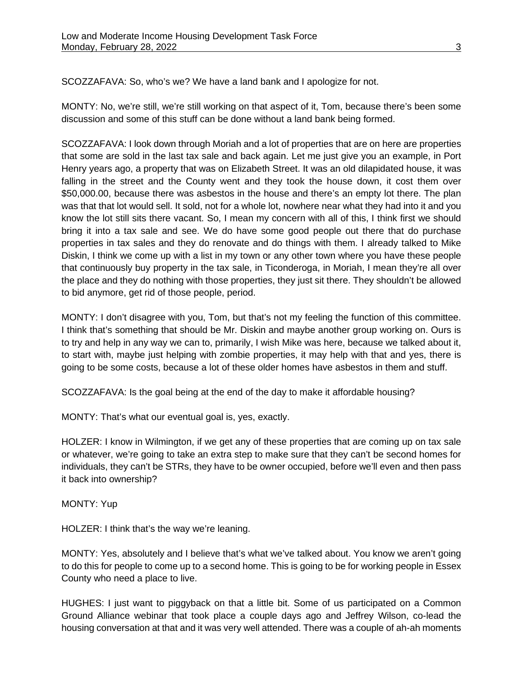SCOZZAFAVA: So, who's we? We have a land bank and I apologize for not.

MONTY: No, we're still, we're still working on that aspect of it, Tom, because there's been some discussion and some of this stuff can be done without a land bank being formed.

SCOZZAFAVA: I look down through Moriah and a lot of properties that are on here are properties that some are sold in the last tax sale and back again. Let me just give you an example, in Port Henry years ago, a property that was on Elizabeth Street. It was an old dilapidated house, it was falling in the street and the County went and they took the house down, it cost them over \$50,000.00, because there was asbestos in the house and there's an empty lot there. The plan was that that lot would sell. It sold, not for a whole lot, nowhere near what they had into it and you know the lot still sits there vacant. So, I mean my concern with all of this, I think first we should bring it into a tax sale and see. We do have some good people out there that do purchase properties in tax sales and they do renovate and do things with them. I already talked to Mike Diskin, I think we come up with a list in my town or any other town where you have these people that continuously buy property in the tax sale, in Ticonderoga, in Moriah, I mean they're all over the place and they do nothing with those properties, they just sit there. They shouldn't be allowed to bid anymore, get rid of those people, period.

MONTY: I don't disagree with you, Tom, but that's not my feeling the function of this committee. I think that's something that should be Mr. Diskin and maybe another group working on. Ours is to try and help in any way we can to, primarily, I wish Mike was here, because we talked about it, to start with, maybe just helping with zombie properties, it may help with that and yes, there is going to be some costs, because a lot of these older homes have asbestos in them and stuff.

SCOZZAFAVA: Is the goal being at the end of the day to make it affordable housing?

MONTY: That's what our eventual goal is, yes, exactly.

HOLZER: I know in Wilmington, if we get any of these properties that are coming up on tax sale or whatever, we're going to take an extra step to make sure that they can't be second homes for individuals, they can't be STRs, they have to be owner occupied, before we'll even and then pass it back into ownership?

MONTY: Yup

HOLZER: I think that's the way we're leaning.

MONTY: Yes, absolutely and I believe that's what we've talked about. You know we aren't going to do this for people to come up to a second home. This is going to be for working people in Essex County who need a place to live.

HUGHES: I just want to piggyback on that a little bit. Some of us participated on a Common Ground Alliance webinar that took place a couple days ago and Jeffrey Wilson, co-lead the housing conversation at that and it was very well attended. There was a couple of ah-ah moments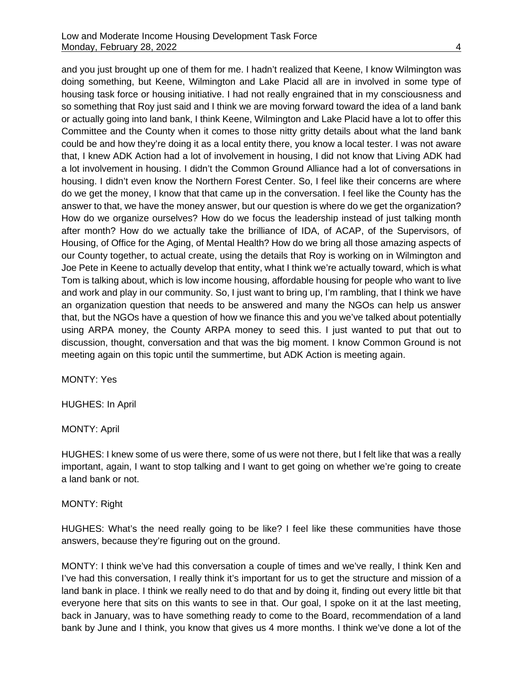and you just brought up one of them for me. I hadn't realized that Keene, I know Wilmington was doing something, but Keene, Wilmington and Lake Placid all are in involved in some type of housing task force or housing initiative. I had not really engrained that in my consciousness and so something that Roy just said and I think we are moving forward toward the idea of a land bank or actually going into land bank, I think Keene, Wilmington and Lake Placid have a lot to offer this Committee and the County when it comes to those nitty gritty details about what the land bank could be and how they're doing it as a local entity there, you know a local tester. I was not aware that, I knew ADK Action had a lot of involvement in housing, I did not know that Living ADK had a lot involvement in housing. I didn't the Common Ground Alliance had a lot of conversations in housing. I didn't even know the Northern Forest Center. So, I feel like their concerns are where do we get the money, I know that that came up in the conversation. I feel like the County has the answer to that, we have the money answer, but our question is where do we get the organization? How do we organize ourselves? How do we focus the leadership instead of just talking month after month? How do we actually take the brilliance of IDA, of ACAP, of the Supervisors, of Housing, of Office for the Aging, of Mental Health? How do we bring all those amazing aspects of our County together, to actual create, using the details that Roy is working on in Wilmington and Joe Pete in Keene to actually develop that entity, what I think we're actually toward, which is what Tom is talking about, which is low income housing, affordable housing for people who want to live and work and play in our community. So, I just want to bring up, I'm rambling, that I think we have an organization question that needs to be answered and many the NGOs can help us answer that, but the NGOs have a question of how we finance this and you we've talked about potentially using ARPA money, the County ARPA money to seed this. I just wanted to put that out to discussion, thought, conversation and that was the big moment. I know Common Ground is not meeting again on this topic until the summertime, but ADK Action is meeting again.

MONTY: Yes

HUGHES: In April

MONTY: April

HUGHES: I knew some of us were there, some of us were not there, but I felt like that was a really important, again, I want to stop talking and I want to get going on whether we're going to create a land bank or not.

#### MONTY: Right

HUGHES: What's the need really going to be like? I feel like these communities have those answers, because they're figuring out on the ground.

MONTY: I think we've had this conversation a couple of times and we've really, I think Ken and I've had this conversation, I really think it's important for us to get the structure and mission of a land bank in place. I think we really need to do that and by doing it, finding out every little bit that everyone here that sits on this wants to see in that. Our goal, I spoke on it at the last meeting, back in January, was to have something ready to come to the Board, recommendation of a land bank by June and I think, you know that gives us 4 more months. I think we've done a lot of the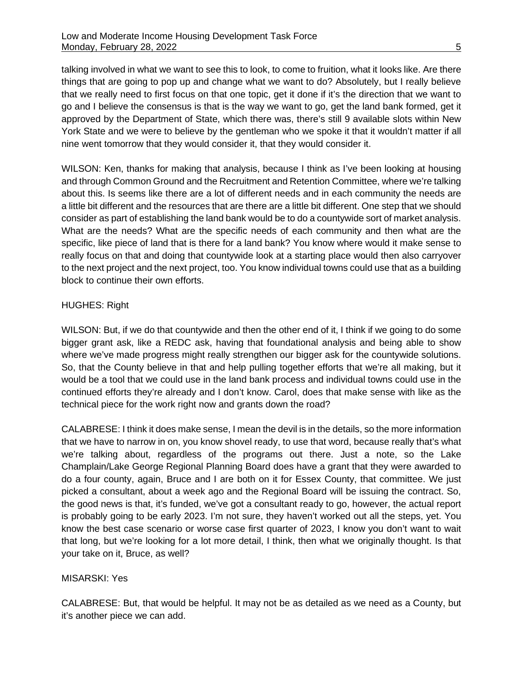talking involved in what we want to see this to look, to come to fruition, what it looks like. Are there things that are going to pop up and change what we want to do? Absolutely, but I really believe that we really need to first focus on that one topic, get it done if it's the direction that we want to go and I believe the consensus is that is the way we want to go, get the land bank formed, get it approved by the Department of State, which there was, there's still 9 available slots within New York State and we were to believe by the gentleman who we spoke it that it wouldn't matter if all nine went tomorrow that they would consider it, that they would consider it.

WILSON: Ken, thanks for making that analysis, because I think as I've been looking at housing and through Common Ground and the Recruitment and Retention Committee, where we're talking about this. Is seems like there are a lot of different needs and in each community the needs are a little bit different and the resources that are there are a little bit different. One step that we should consider as part of establishing the land bank would be to do a countywide sort of market analysis. What are the needs? What are the specific needs of each community and then what are the specific, like piece of land that is there for a land bank? You know where would it make sense to really focus on that and doing that countywide look at a starting place would then also carryover to the next project and the next project, too. You know individual towns could use that as a building block to continue their own efforts.

## HUGHES: Right

WILSON: But, if we do that countywide and then the other end of it, I think if we going to do some bigger grant ask, like a REDC ask, having that foundational analysis and being able to show where we've made progress might really strengthen our bigger ask for the countywide solutions. So, that the County believe in that and help pulling together efforts that we're all making, but it would be a tool that we could use in the land bank process and individual towns could use in the continued efforts they're already and I don't know. Carol, does that make sense with like as the technical piece for the work right now and grants down the road?

CALABRESE: I think it does make sense, I mean the devil is in the details, so the more information that we have to narrow in on, you know shovel ready, to use that word, because really that's what we're talking about, regardless of the programs out there. Just a note, so the Lake Champlain/Lake George Regional Planning Board does have a grant that they were awarded to do a four county, again, Bruce and I are both on it for Essex County, that committee. We just picked a consultant, about a week ago and the Regional Board will be issuing the contract. So, the good news is that, it's funded, we've got a consultant ready to go, however, the actual report is probably going to be early 2023. I'm not sure, they haven't worked out all the steps, yet. You know the best case scenario or worse case first quarter of 2023, I know you don't want to wait that long, but we're looking for a lot more detail, I think, then what we originally thought. Is that your take on it, Bruce, as well?

### MISARSKI: Yes

CALABRESE: But, that would be helpful. It may not be as detailed as we need as a County, but it's another piece we can add.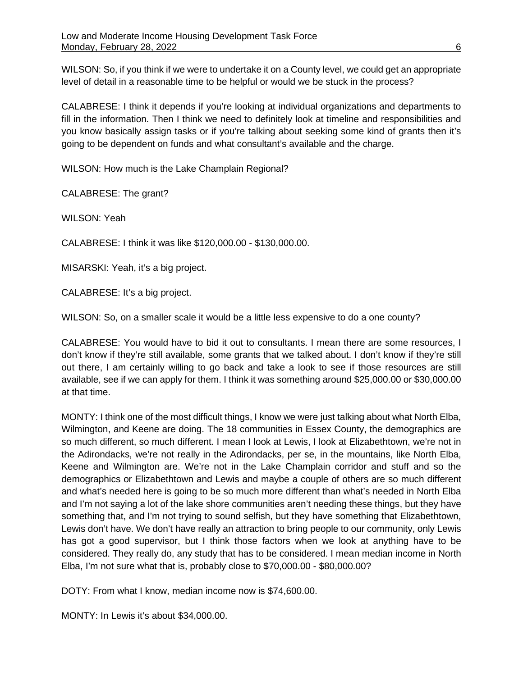WILSON: So, if you think if we were to undertake it on a County level, we could get an appropriate level of detail in a reasonable time to be helpful or would we be stuck in the process?

CALABRESE: I think it depends if you're looking at individual organizations and departments to fill in the information. Then I think we need to definitely look at timeline and responsibilities and you know basically assign tasks or if you're talking about seeking some kind of grants then it's going to be dependent on funds and what consultant's available and the charge.

WILSON: How much is the Lake Champlain Regional?

CALABRESE: The grant?

WILSON: Yeah

CALABRESE: I think it was like \$120,000.00 - \$130,000.00.

MISARSKI: Yeah, it's a big project.

CALABRESE: It's a big project.

WILSON: So, on a smaller scale it would be a little less expensive to do a one county?

CALABRESE: You would have to bid it out to consultants. I mean there are some resources, I don't know if they're still available, some grants that we talked about. I don't know if they're still out there, I am certainly willing to go back and take a look to see if those resources are still available, see if we can apply for them. I think it was something around \$25,000.00 or \$30,000.00 at that time.

MONTY: I think one of the most difficult things, I know we were just talking about what North Elba, Wilmington, and Keene are doing. The 18 communities in Essex County, the demographics are so much different, so much different. I mean I look at Lewis, I look at Elizabethtown, we're not in the Adirondacks, we're not really in the Adirondacks, per se, in the mountains, like North Elba, Keene and Wilmington are. We're not in the Lake Champlain corridor and stuff and so the demographics or Elizabethtown and Lewis and maybe a couple of others are so much different and what's needed here is going to be so much more different than what's needed in North Elba and I'm not saying a lot of the lake shore communities aren't needing these things, but they have something that, and I'm not trying to sound selfish, but they have something that Elizabethtown, Lewis don't have. We don't have really an attraction to bring people to our community, only Lewis has got a good supervisor, but I think those factors when we look at anything have to be considered. They really do, any study that has to be considered. I mean median income in North Elba, I'm not sure what that is, probably close to \$70,000.00 - \$80,000.00?

DOTY: From what I know, median income now is \$74,600.00.

MONTY: In Lewis it's about \$34,000.00.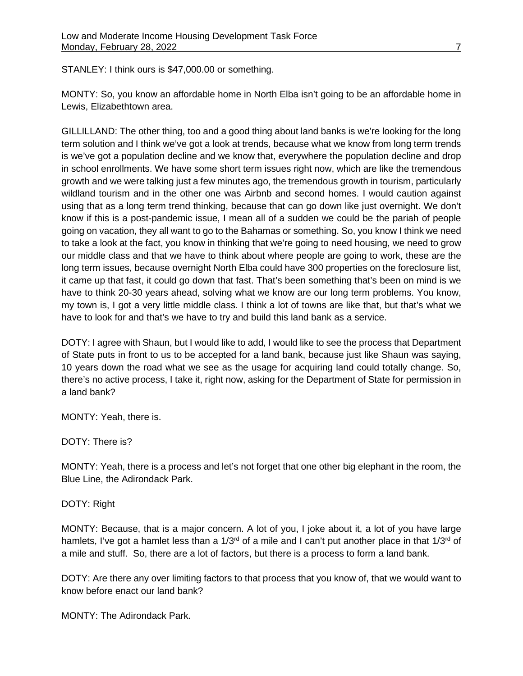STANLEY: I think ours is \$47,000.00 or something.

MONTY: So, you know an affordable home in North Elba isn't going to be an affordable home in Lewis, Elizabethtown area.

GILLILLAND: The other thing, too and a good thing about land banks is we're looking for the long term solution and I think we've got a look at trends, because what we know from long term trends is we've got a population decline and we know that, everywhere the population decline and drop in school enrollments. We have some short term issues right now, which are like the tremendous growth and we were talking just a few minutes ago, the tremendous growth in tourism, particularly wildland tourism and in the other one was Airbnb and second homes. I would caution against using that as a long term trend thinking, because that can go down like just overnight. We don't know if this is a post-pandemic issue, I mean all of a sudden we could be the pariah of people going on vacation, they all want to go to the Bahamas or something. So, you know I think we need to take a look at the fact, you know in thinking that we're going to need housing, we need to grow our middle class and that we have to think about where people are going to work, these are the long term issues, because overnight North Elba could have 300 properties on the foreclosure list, it came up that fast, it could go down that fast. That's been something that's been on mind is we have to think 20-30 years ahead, solving what we know are our long term problems. You know, my town is, I got a very little middle class. I think a lot of towns are like that, but that's what we have to look for and that's we have to try and build this land bank as a service.

DOTY: I agree with Shaun, but I would like to add, I would like to see the process that Department of State puts in front to us to be accepted for a land bank, because just like Shaun was saying, 10 years down the road what we see as the usage for acquiring land could totally change. So, there's no active process, I take it, right now, asking for the Department of State for permission in a land bank?

MONTY: Yeah, there is.

DOTY: There is?

MONTY: Yeah, there is a process and let's not forget that one other big elephant in the room, the Blue Line, the Adirondack Park.

## DOTY: Right

MONTY: Because, that is a major concern. A lot of you, I joke about it, a lot of you have large hamlets, I've got a hamlet less than a 1/3<sup>rd</sup> of a mile and I can't put another place in that 1/3<sup>rd</sup> of a mile and stuff. So, there are a lot of factors, but there is a process to form a land bank.

DOTY: Are there any over limiting factors to that process that you know of, that we would want to know before enact our land bank?

MONTY: The Adirondack Park.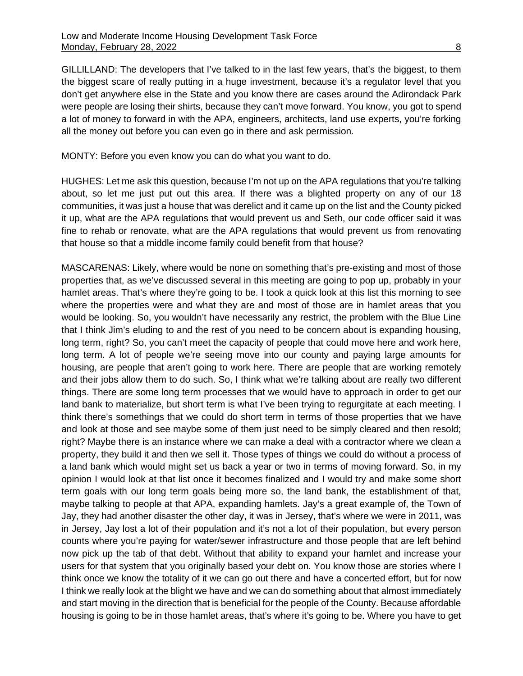GILLILLAND: The developers that I've talked to in the last few years, that's the biggest, to them the biggest scare of really putting in a huge investment, because it's a regulator level that you don't get anywhere else in the State and you know there are cases around the Adirondack Park were people are losing their shirts, because they can't move forward. You know, you got to spend a lot of money to forward in with the APA, engineers, architects, land use experts, you're forking all the money out before you can even go in there and ask permission.

MONTY: Before you even know you can do what you want to do.

HUGHES: Let me ask this question, because I'm not up on the APA regulations that you're talking about, so let me just put out this area. If there was a blighted property on any of our 18 communities, it was just a house that was derelict and it came up on the list and the County picked it up, what are the APA regulations that would prevent us and Seth, our code officer said it was fine to rehab or renovate, what are the APA regulations that would prevent us from renovating that house so that a middle income family could benefit from that house?

MASCARENAS: Likely, where would be none on something that's pre-existing and most of those properties that, as we've discussed several in this meeting are going to pop up, probably in your hamlet areas. That's where they're going to be. I took a quick look at this list this morning to see where the properties were and what they are and most of those are in hamlet areas that you would be looking. So, you wouldn't have necessarily any restrict, the problem with the Blue Line that I think Jim's eluding to and the rest of you need to be concern about is expanding housing, long term, right? So, you can't meet the capacity of people that could move here and work here, long term. A lot of people we're seeing move into our county and paying large amounts for housing, are people that aren't going to work here. There are people that are working remotely and their jobs allow them to do such. So, I think what we're talking about are really two different things. There are some long term processes that we would have to approach in order to get our land bank to materialize, but short term is what I've been trying to regurgitate at each meeting. I think there's somethings that we could do short term in terms of those properties that we have and look at those and see maybe some of them just need to be simply cleared and then resold; right? Maybe there is an instance where we can make a deal with a contractor where we clean a property, they build it and then we sell it. Those types of things we could do without a process of a land bank which would might set us back a year or two in terms of moving forward. So, in my opinion I would look at that list once it becomes finalized and I would try and make some short term goals with our long term goals being more so, the land bank, the establishment of that, maybe talking to people at that APA, expanding hamlets. Jay's a great example of, the Town of Jay, they had another disaster the other day, it was in Jersey, that's where we were in 2011, was in Jersey, Jay lost a lot of their population and it's not a lot of their population, but every person counts where you're paying for water/sewer infrastructure and those people that are left behind now pick up the tab of that debt. Without that ability to expand your hamlet and increase your users for that system that you originally based your debt on. You know those are stories where I think once we know the totality of it we can go out there and have a concerted effort, but for now I think we really look at the blight we have and we can do something about that almost immediately and start moving in the direction that is beneficial for the people of the County. Because affordable housing is going to be in those hamlet areas, that's where it's going to be. Where you have to get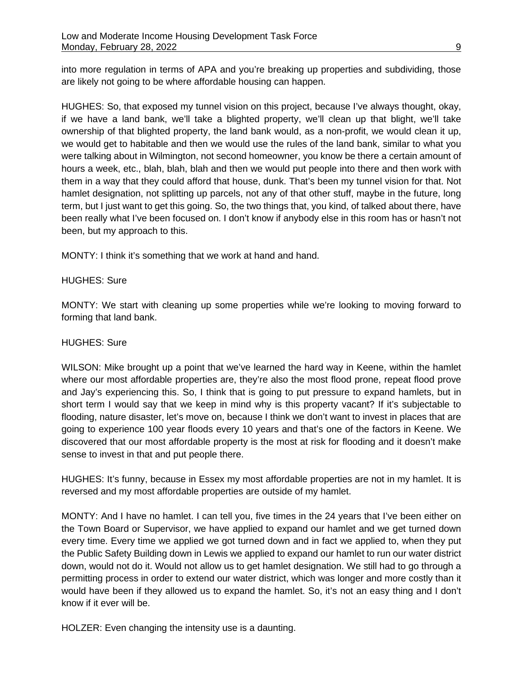into more regulation in terms of APA and you're breaking up properties and subdividing, those are likely not going to be where affordable housing can happen.

HUGHES: So, that exposed my tunnel vision on this project, because I've always thought, okay, if we have a land bank, we'll take a blighted property, we'll clean up that blight, we'll take ownership of that blighted property, the land bank would, as a non-profit, we would clean it up, we would get to habitable and then we would use the rules of the land bank, similar to what you were talking about in Wilmington, not second homeowner, you know be there a certain amount of hours a week, etc., blah, blah, blah and then we would put people into there and then work with them in a way that they could afford that house, dunk. That's been my tunnel vision for that. Not hamlet designation, not splitting up parcels, not any of that other stuff, maybe in the future, long term, but I just want to get this going. So, the two things that, you kind, of talked about there, have been really what I've been focused on. I don't know if anybody else in this room has or hasn't not been, but my approach to this.

MONTY: I think it's something that we work at hand and hand.

### HUGHES: Sure

MONTY: We start with cleaning up some properties while we're looking to moving forward to forming that land bank.

### HUGHES: Sure

WILSON: Mike brought up a point that we've learned the hard way in Keene, within the hamlet where our most affordable properties are, they're also the most flood prone, repeat flood prove and Jay's experiencing this. So, I think that is going to put pressure to expand hamlets, but in short term I would say that we keep in mind why is this property vacant? If it's subjectable to flooding, nature disaster, let's move on, because I think we don't want to invest in places that are going to experience 100 year floods every 10 years and that's one of the factors in Keene. We discovered that our most affordable property is the most at risk for flooding and it doesn't make sense to invest in that and put people there.

HUGHES: It's funny, because in Essex my most affordable properties are not in my hamlet. It is reversed and my most affordable properties are outside of my hamlet.

MONTY: And I have no hamlet. I can tell you, five times in the 24 years that I've been either on the Town Board or Supervisor, we have applied to expand our hamlet and we get turned down every time. Every time we applied we got turned down and in fact we applied to, when they put the Public Safety Building down in Lewis we applied to expand our hamlet to run our water district down, would not do it. Would not allow us to get hamlet designation. We still had to go through a permitting process in order to extend our water district, which was longer and more costly than it would have been if they allowed us to expand the hamlet. So, it's not an easy thing and I don't know if it ever will be.

HOLZER: Even changing the intensity use is a daunting.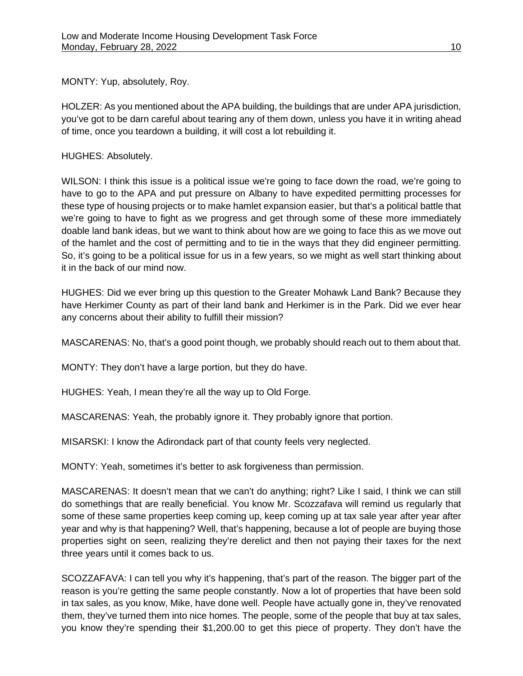MONTY: Yup, absolutely, Roy.

HOLZER: As you mentioned about the APA building, the buildings that are under APA jurisdiction, you've got to be darn careful about tearing any of them down, unless you have it in writing ahead of time, once you teardown a building, it will cost a lot rebuilding it.

HUGHES: Absolutely.

WILSON: I think this issue is a political issue we're going to face down the road, we're going to have to go to the APA and put pressure on Albany to have expedited permitting processes for these type of housing projects or to make hamlet expansion easier, but that's a political battle that we're going to have to fight as we progress and get through some of these more immediately doable land bank ideas, but we want to think about how are we going to face this as we move out of the hamlet and the cost of permitting and to tie in the ways that they did engineer permitting. So, it's going to be a political issue for us in a few years, so we might as well start thinking about it in the back of our mind now.

HUGHES: Did we ever bring up this question to the Greater Mohawk Land Bank? Because they have Herkimer County as part of their land bank and Herkimer is in the Park. Did we ever hear any concerns about their ability to fulfill their mission?

MASCARENAS: No, that's a good point though, we probably should reach out to them about that.

MONTY: They don't have a large portion, but they do have.

HUGHES: Yeah, I mean they're all the way up to Old Forge.

MASCARENAS: Yeah, the probably ignore it. They probably ignore that portion.

MISARSKI: I know the Adirondack part of that county feels very neglected.

MONTY: Yeah, sometimes it's better to ask forgiveness than permission.

MASCARENAS: It doesn't mean that we can't do anything; right? Like I said, I think we can still do somethings that are really beneficial. You know Mr. Scozzafava will remind us regularly that some of these same properties keep coming up, keep coming up at tax sale year after year after year and why is that happening? Well, that's happening, because a lot of people are buying those properties sight on seen, realizing they're derelict and then not paying their taxes for the next three years until it comes back to us.

SCOZZAFAVA: I can tell you why it's happening, that's part of the reason. The bigger part of the reason is you're getting the same people constantly. Now a lot of properties that have been sold in tax sales, as you know, Mike, have done well. People have actually gone in, they've renovated them, they've turned them into nice homes. The people, some of the people that buy at tax sales, you know they're spending their \$1,200.00 to get this piece of property. They don't have the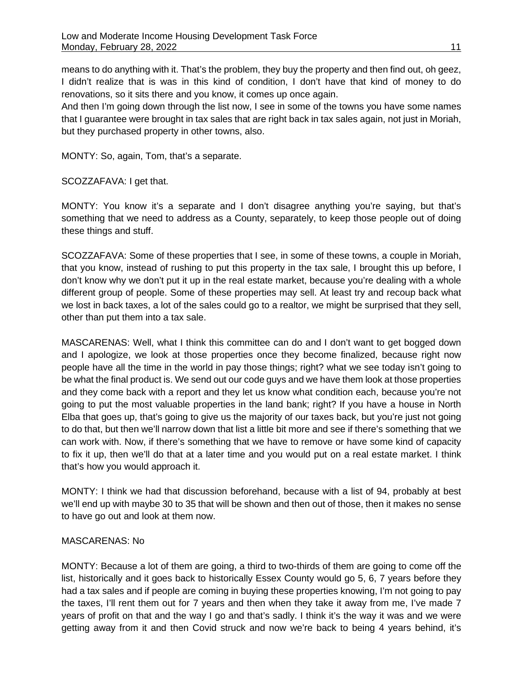means to do anything with it. That's the problem, they buy the property and then find out, oh geez, I didn't realize that is was in this kind of condition, I don't have that kind of money to do renovations, so it sits there and you know, it comes up once again.

And then I'm going down through the list now, I see in some of the towns you have some names that I guarantee were brought in tax sales that are right back in tax sales again, not just in Moriah, but they purchased property in other towns, also.

MONTY: So, again, Tom, that's a separate.

SCOZZAFAVA: I get that.

MONTY: You know it's a separate and I don't disagree anything you're saying, but that's something that we need to address as a County, separately, to keep those people out of doing these things and stuff.

SCOZZAFAVA: Some of these properties that I see, in some of these towns, a couple in Moriah, that you know, instead of rushing to put this property in the tax sale, I brought this up before, I don't know why we don't put it up in the real estate market, because you're dealing with a whole different group of people. Some of these properties may sell. At least try and recoup back what we lost in back taxes, a lot of the sales could go to a realtor, we might be surprised that they sell, other than put them into a tax sale.

MASCARENAS: Well, what I think this committee can do and I don't want to get bogged down and I apologize, we look at those properties once they become finalized, because right now people have all the time in the world in pay those things; right? what we see today isn't going to be what the final product is. We send out our code guys and we have them look at those properties and they come back with a report and they let us know what condition each, because you're not going to put the most valuable properties in the land bank; right? If you have a house in North Elba that goes up, that's going to give us the majority of our taxes back, but you're just not going to do that, but then we'll narrow down that list a little bit more and see if there's something that we can work with. Now, if there's something that we have to remove or have some kind of capacity to fix it up, then we'll do that at a later time and you would put on a real estate market. I think that's how you would approach it.

MONTY: I think we had that discussion beforehand, because with a list of 94, probably at best we'll end up with maybe 30 to 35 that will be shown and then out of those, then it makes no sense to have go out and look at them now.

### MASCARENAS: No

MONTY: Because a lot of them are going, a third to two-thirds of them are going to come off the list, historically and it goes back to historically Essex County would go 5, 6, 7 years before they had a tax sales and if people are coming in buying these properties knowing, I'm not going to pay the taxes, I'll rent them out for 7 years and then when they take it away from me, I've made 7 years of profit on that and the way I go and that's sadly. I think it's the way it was and we were getting away from it and then Covid struck and now we're back to being 4 years behind, it's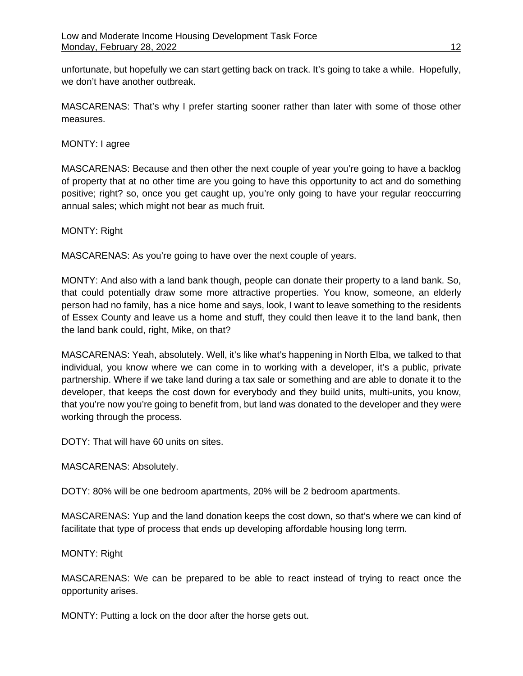unfortunate, but hopefully we can start getting back on track. It's going to take a while. Hopefully, we don't have another outbreak.

MASCARENAS: That's why I prefer starting sooner rather than later with some of those other measures.

## MONTY: I agree

MASCARENAS: Because and then other the next couple of year you're going to have a backlog of property that at no other time are you going to have this opportunity to act and do something positive; right? so, once you get caught up, you're only going to have your regular reoccurring annual sales; which might not bear as much fruit.

## MONTY: Right

MASCARENAS: As you're going to have over the next couple of years.

MONTY: And also with a land bank though, people can donate their property to a land bank. So, that could potentially draw some more attractive properties. You know, someone, an elderly person had no family, has a nice home and says, look, I want to leave something to the residents of Essex County and leave us a home and stuff, they could then leave it to the land bank, then the land bank could, right, Mike, on that?

MASCARENAS: Yeah, absolutely. Well, it's like what's happening in North Elba, we talked to that individual, you know where we can come in to working with a developer, it's a public, private partnership. Where if we take land during a tax sale or something and are able to donate it to the developer, that keeps the cost down for everybody and they build units, multi-units, you know, that you're now you're going to benefit from, but land was donated to the developer and they were working through the process.

DOTY: That will have 60 units on sites.

MASCARENAS: Absolutely.

DOTY: 80% will be one bedroom apartments, 20% will be 2 bedroom apartments.

MASCARENAS: Yup and the land donation keeps the cost down, so that's where we can kind of facilitate that type of process that ends up developing affordable housing long term.

## MONTY: Right

MASCARENAS: We can be prepared to be able to react instead of trying to react once the opportunity arises.

MONTY: Putting a lock on the door after the horse gets out.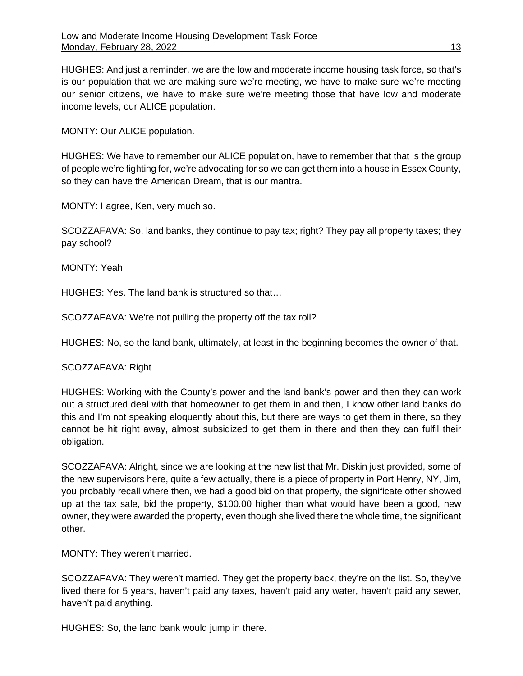HUGHES: And just a reminder, we are the low and moderate income housing task force, so that's is our population that we are making sure we're meeting, we have to make sure we're meeting our senior citizens, we have to make sure we're meeting those that have low and moderate income levels, our ALICE population.

MONTY: Our ALICE population.

HUGHES: We have to remember our ALICE population, have to remember that that is the group of people we're fighting for, we're advocating for so we can get them into a house in Essex County, so they can have the American Dream, that is our mantra.

MONTY: I agree, Ken, very much so.

SCOZZAFAVA: So, land banks, they continue to pay tax; right? They pay all property taxes; they pay school?

MONTY: Yeah

HUGHES: Yes. The land bank is structured so that…

SCOZZAFAVA: We're not pulling the property off the tax roll?

HUGHES: No, so the land bank, ultimately, at least in the beginning becomes the owner of that.

SCOZZAFAVA: Right

HUGHES: Working with the County's power and the land bank's power and then they can work out a structured deal with that homeowner to get them in and then, I know other land banks do this and I'm not speaking eloquently about this, but there are ways to get them in there, so they cannot be hit right away, almost subsidized to get them in there and then they can fulfil their obligation.

SCOZZAFAVA: Alright, since we are looking at the new list that Mr. Diskin just provided, some of the new supervisors here, quite a few actually, there is a piece of property in Port Henry, NY, Jim, you probably recall where then, we had a good bid on that property, the significate other showed up at the tax sale, bid the property, \$100.00 higher than what would have been a good, new owner, they were awarded the property, even though she lived there the whole time, the significant other.

MONTY: They weren't married.

SCOZZAFAVA: They weren't married. They get the property back, they're on the list. So, they've lived there for 5 years, haven't paid any taxes, haven't paid any water, haven't paid any sewer, haven't paid anything.

HUGHES: So, the land bank would jump in there.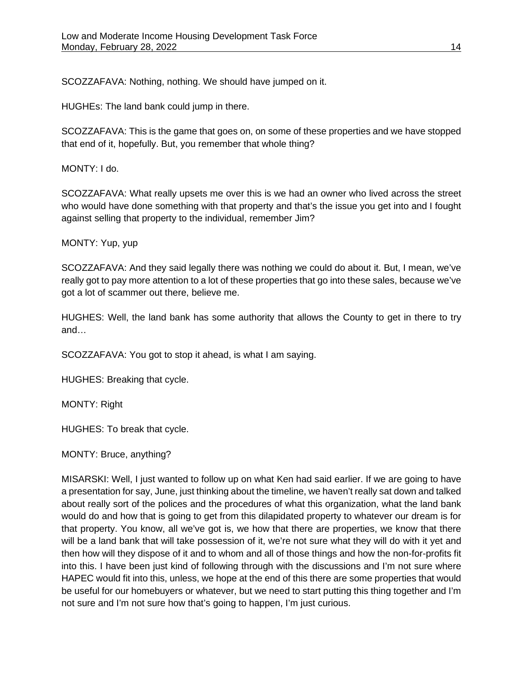SCOZZAFAVA: Nothing, nothing. We should have jumped on it.

HUGHEs: The land bank could jump in there.

SCOZZAFAVA: This is the game that goes on, on some of these properties and we have stopped that end of it, hopefully. But, you remember that whole thing?

MONTY: I do.

SCOZZAFAVA: What really upsets me over this is we had an owner who lived across the street who would have done something with that property and that's the issue you get into and I fought against selling that property to the individual, remember Jim?

MONTY: Yup, yup

SCOZZAFAVA: And they said legally there was nothing we could do about it. But, I mean, we've really got to pay more attention to a lot of these properties that go into these sales, because we've got a lot of scammer out there, believe me.

HUGHES: Well, the land bank has some authority that allows the County to get in there to try and…

SCOZZAFAVA: You got to stop it ahead, is what I am saying.

HUGHES: Breaking that cycle.

MONTY: Right

HUGHES: To break that cycle.

MONTY: Bruce, anything?

MISARSKI: Well, I just wanted to follow up on what Ken had said earlier. If we are going to have a presentation for say, June, just thinking about the timeline, we haven't really sat down and talked about really sort of the polices and the procedures of what this organization, what the land bank would do and how that is going to get from this dilapidated property to whatever our dream is for that property. You know, all we've got is, we how that there are properties, we know that there will be a land bank that will take possession of it, we're not sure what they will do with it yet and then how will they dispose of it and to whom and all of those things and how the non-for-profits fit into this. I have been just kind of following through with the discussions and I'm not sure where HAPEC would fit into this, unless, we hope at the end of this there are some properties that would be useful for our homebuyers or whatever, but we need to start putting this thing together and I'm not sure and I'm not sure how that's going to happen, I'm just curious.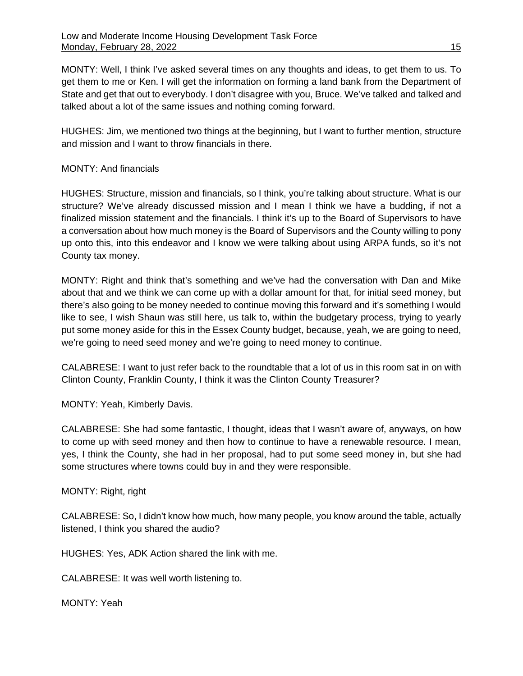MONTY: Well, I think I've asked several times on any thoughts and ideas, to get them to us. To get them to me or Ken. I will get the information on forming a land bank from the Department of State and get that out to everybody. I don't disagree with you, Bruce. We've talked and talked and talked about a lot of the same issues and nothing coming forward.

HUGHES: Jim, we mentioned two things at the beginning, but I want to further mention, structure and mission and I want to throw financials in there.

## MONTY: And financials

HUGHES: Structure, mission and financials, so I think, you're talking about structure. What is our structure? We've already discussed mission and I mean I think we have a budding, if not a finalized mission statement and the financials. I think it's up to the Board of Supervisors to have a conversation about how much money is the Board of Supervisors and the County willing to pony up onto this, into this endeavor and I know we were talking about using ARPA funds, so it's not County tax money.

MONTY: Right and think that's something and we've had the conversation with Dan and Mike about that and we think we can come up with a dollar amount for that, for initial seed money, but there's also going to be money needed to continue moving this forward and it's something I would like to see, I wish Shaun was still here, us talk to, within the budgetary process, trying to yearly put some money aside for this in the Essex County budget, because, yeah, we are going to need, we're going to need seed money and we're going to need money to continue.

CALABRESE: I want to just refer back to the roundtable that a lot of us in this room sat in on with Clinton County, Franklin County, I think it was the Clinton County Treasurer?

MONTY: Yeah, Kimberly Davis.

CALABRESE: She had some fantastic, I thought, ideas that I wasn't aware of, anyways, on how to come up with seed money and then how to continue to have a renewable resource. I mean, yes, I think the County, she had in her proposal, had to put some seed money in, but she had some structures where towns could buy in and they were responsible.

MONTY: Right, right

CALABRESE: So, I didn't know how much, how many people, you know around the table, actually listened, I think you shared the audio?

HUGHES: Yes, ADK Action shared the link with me.

CALABRESE: It was well worth listening to.

MONTY: Yeah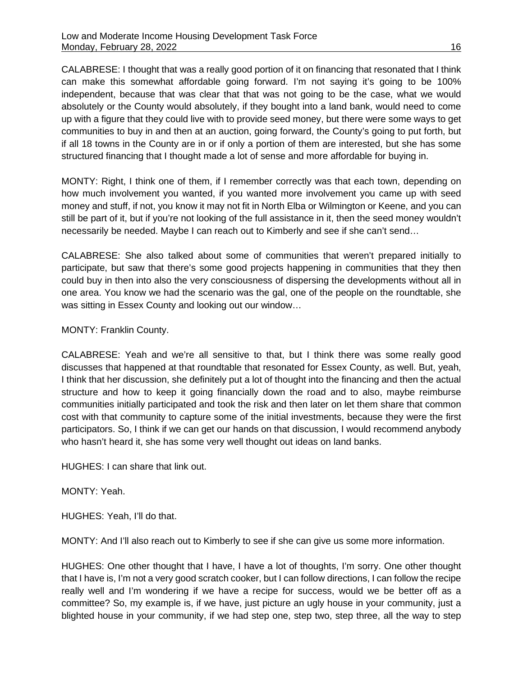CALABRESE: I thought that was a really good portion of it on financing that resonated that I think can make this somewhat affordable going forward. I'm not saying it's going to be 100% independent, because that was clear that that was not going to be the case, what we would absolutely or the County would absolutely, if they bought into a land bank, would need to come up with a figure that they could live with to provide seed money, but there were some ways to get communities to buy in and then at an auction, going forward, the County's going to put forth, but if all 18 towns in the County are in or if only a portion of them are interested, but she has some structured financing that I thought made a lot of sense and more affordable for buying in.

MONTY: Right, I think one of them, if I remember correctly was that each town, depending on how much involvement you wanted, if you wanted more involvement you came up with seed money and stuff, if not, you know it may not fit in North Elba or Wilmington or Keene, and you can still be part of it, but if you're not looking of the full assistance in it, then the seed money wouldn't necessarily be needed. Maybe I can reach out to Kimberly and see if she can't send…

CALABRESE: She also talked about some of communities that weren't prepared initially to participate, but saw that there's some good projects happening in communities that they then could buy in then into also the very consciousness of dispersing the developments without all in one area. You know we had the scenario was the gal, one of the people on the roundtable, she was sitting in Essex County and looking out our window…

## MONTY: Franklin County.

CALABRESE: Yeah and we're all sensitive to that, but I think there was some really good discusses that happened at that roundtable that resonated for Essex County, as well. But, yeah, I think that her discussion, she definitely put a lot of thought into the financing and then the actual structure and how to keep it going financially down the road and to also, maybe reimburse communities initially participated and took the risk and then later on let them share that common cost with that community to capture some of the initial investments, because they were the first participators. So, I think if we can get our hands on that discussion, I would recommend anybody who hasn't heard it, she has some very well thought out ideas on land banks.

HUGHES: I can share that link out.

### MONTY: Yeah.

HUGHES: Yeah, I'll do that.

MONTY: And I'll also reach out to Kimberly to see if she can give us some more information.

HUGHES: One other thought that I have, I have a lot of thoughts, I'm sorry. One other thought that I have is, I'm not a very good scratch cooker, but I can follow directions, I can follow the recipe really well and I'm wondering if we have a recipe for success, would we be better off as a committee? So, my example is, if we have, just picture an ugly house in your community, just a blighted house in your community, if we had step one, step two, step three, all the way to step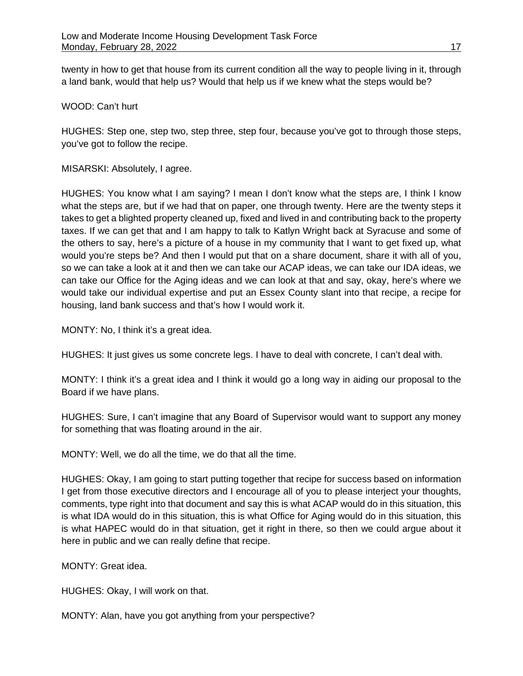twenty in how to get that house from its current condition all the way to people living in it, through a land bank, would that help us? Would that help us if we knew what the steps would be?

WOOD: Can't hurt

HUGHES: Step one, step two, step three, step four, because you've got to through those steps, you've got to follow the recipe.

MISARSKI: Absolutely, I agree.

HUGHES: You know what I am saying? I mean I don't know what the steps are, I think I know what the steps are, but if we had that on paper, one through twenty. Here are the twenty steps it takes to get a blighted property cleaned up, fixed and lived in and contributing back to the property taxes. If we can get that and I am happy to talk to Katlyn Wright back at Syracuse and some of the others to say, here's a picture of a house in my community that I want to get fixed up, what would you're steps be? And then I would put that on a share document, share it with all of you, so we can take a look at it and then we can take our ACAP ideas, we can take our IDA ideas, we can take our Office for the Aging ideas and we can look at that and say, okay, here's where we would take our individual expertise and put an Essex County slant into that recipe, a recipe for housing, land bank success and that's how I would work it.

MONTY: No, I think it's a great idea.

HUGHES: It just gives us some concrete legs. I have to deal with concrete, I can't deal with.

MONTY: I think it's a great idea and I think it would go a long way in aiding our proposal to the Board if we have plans.

HUGHES: Sure, I can't imagine that any Board of Supervisor would want to support any money for something that was floating around in the air.

MONTY: Well, we do all the time, we do that all the time.

HUGHES: Okay, I am going to start putting together that recipe for success based on information I get from those executive directors and I encourage all of you to please interject your thoughts, comments, type right into that document and say this is what ACAP would do in this situation, this is what IDA would do in this situation, this is what Office for Aging would do in this situation, this is what HAPEC would do in that situation, get it right in there, so then we could argue about it here in public and we can really define that recipe.

MONTY: Great idea.

HUGHES: Okay, I will work on that.

MONTY: Alan, have you got anything from your perspective?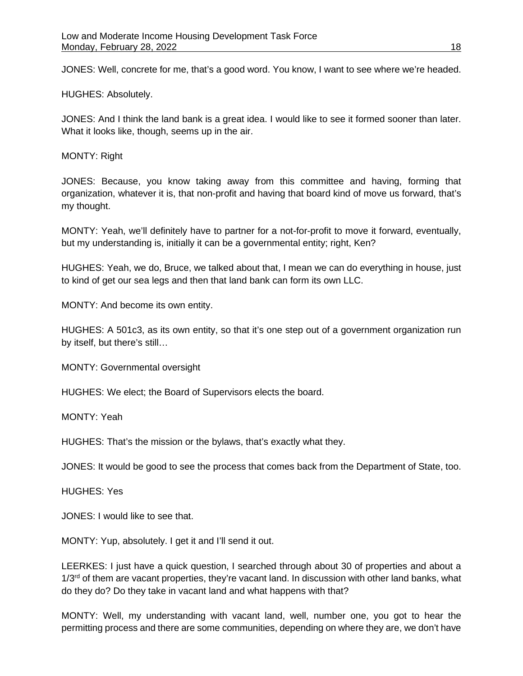JONES: Well, concrete for me, that's a good word. You know, I want to see where we're headed.

HUGHES: Absolutely.

JONES: And I think the land bank is a great idea. I would like to see it formed sooner than later. What it looks like, though, seems up in the air.

MONTY: Right

JONES: Because, you know taking away from this committee and having, forming that organization, whatever it is, that non-profit and having that board kind of move us forward, that's my thought.

MONTY: Yeah, we'll definitely have to partner for a not-for-profit to move it forward, eventually, but my understanding is, initially it can be a governmental entity; right, Ken?

HUGHES: Yeah, we do, Bruce, we talked about that, I mean we can do everything in house, just to kind of get our sea legs and then that land bank can form its own LLC.

MONTY: And become its own entity.

HUGHES: A 501c3, as its own entity, so that it's one step out of a government organization run by itself, but there's still…

MONTY: Governmental oversight

HUGHES: We elect; the Board of Supervisors elects the board.

MONTY: Yeah

HUGHES: That's the mission or the bylaws, that's exactly what they.

JONES: It would be good to see the process that comes back from the Department of State, too.

HUGHES: Yes

JONES: I would like to see that.

MONTY: Yup, absolutely. I get it and I'll send it out.

LEERKES: I just have a quick question, I searched through about 30 of properties and about a  $1/3<sup>rd</sup>$  of them are vacant properties, they're vacant land. In discussion with other land banks, what do they do? Do they take in vacant land and what happens with that?

MONTY: Well, my understanding with vacant land, well, number one, you got to hear the permitting process and there are some communities, depending on where they are, we don't have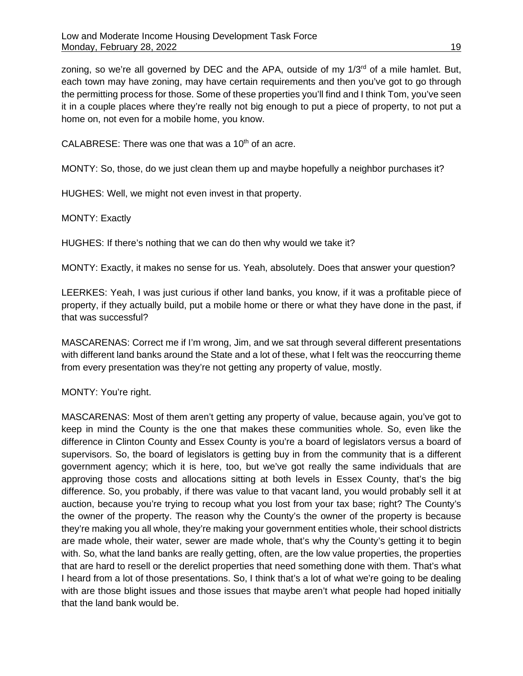zoning, so we're all governed by DEC and the APA, outside of my  $1/3<sup>rd</sup>$  of a mile hamlet. But, each town may have zoning, may have certain requirements and then you've got to go through the permitting process for those. Some of these properties you'll find and I think Tom, you've seen it in a couple places where they're really not big enough to put a piece of property, to not put a home on, not even for a mobile home, you know.

CALABRESE: There was one that was a  $10<sup>th</sup>$  of an acre.

MONTY: So, those, do we just clean them up and maybe hopefully a neighbor purchases it?

HUGHES: Well, we might not even invest in that property.

MONTY: Exactly

HUGHES: If there's nothing that we can do then why would we take it?

MONTY: Exactly, it makes no sense for us. Yeah, absolutely. Does that answer your question?

LEERKES: Yeah, I was just curious if other land banks, you know, if it was a profitable piece of property, if they actually build, put a mobile home or there or what they have done in the past, if that was successful?

MASCARENAS: Correct me if I'm wrong, Jim, and we sat through several different presentations with different land banks around the State and a lot of these, what I felt was the reoccurring theme from every presentation was they're not getting any property of value, mostly.

MONTY: You're right.

MASCARENAS: Most of them aren't getting any property of value, because again, you've got to keep in mind the County is the one that makes these communities whole. So, even like the difference in Clinton County and Essex County is you're a board of legislators versus a board of supervisors. So, the board of legislators is getting buy in from the community that is a different government agency; which it is here, too, but we've got really the same individuals that are approving those costs and allocations sitting at both levels in Essex County, that's the big difference. So, you probably, if there was value to that vacant land, you would probably sell it at auction, because you're trying to recoup what you lost from your tax base; right? The County's the owner of the property. The reason why the County's the owner of the property is because they're making you all whole, they're making your government entities whole, their school districts are made whole, their water, sewer are made whole, that's why the County's getting it to begin with. So, what the land banks are really getting, often, are the low value properties, the properties that are hard to resell or the derelict properties that need something done with them. That's what I heard from a lot of those presentations. So, I think that's a lot of what we're going to be dealing with are those blight issues and those issues that maybe aren't what people had hoped initially that the land bank would be.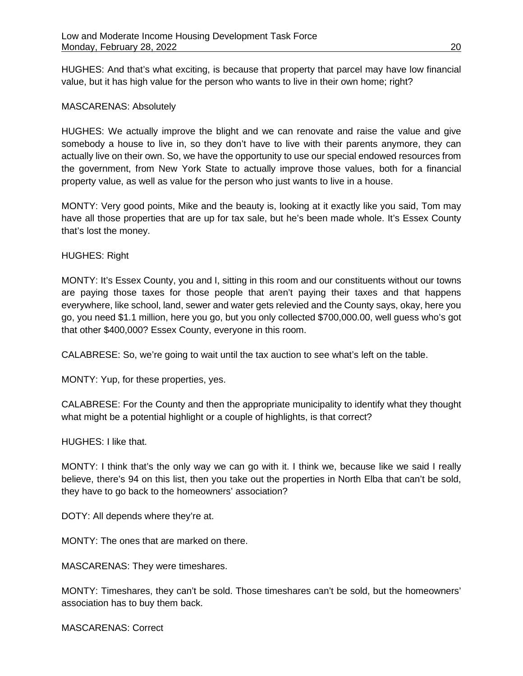HUGHES: And that's what exciting, is because that property that parcel may have low financial value, but it has high value for the person who wants to live in their own home; right?

### MASCARENAS: Absolutely

HUGHES: We actually improve the blight and we can renovate and raise the value and give somebody a house to live in, so they don't have to live with their parents anymore, they can actually live on their own. So, we have the opportunity to use our special endowed resources from the government, from New York State to actually improve those values, both for a financial property value, as well as value for the person who just wants to live in a house.

MONTY: Very good points, Mike and the beauty is, looking at it exactly like you said, Tom may have all those properties that are up for tax sale, but he's been made whole. It's Essex County that's lost the money.

### HUGHES: Right

MONTY: It's Essex County, you and I, sitting in this room and our constituents without our towns are paying those taxes for those people that aren't paying their taxes and that happens everywhere, like school, land, sewer and water gets relevied and the County says, okay, here you go, you need \$1.1 million, here you go, but you only collected \$700,000.00, well guess who's got that other \$400,000? Essex County, everyone in this room.

CALABRESE: So, we're going to wait until the tax auction to see what's left on the table.

MONTY: Yup, for these properties, yes.

CALABRESE: For the County and then the appropriate municipality to identify what they thought what might be a potential highlight or a couple of highlights, is that correct?

HUGHES: I like that.

MONTY: I think that's the only way we can go with it. I think we, because like we said I really believe, there's 94 on this list, then you take out the properties in North Elba that can't be sold, they have to go back to the homeowners' association?

DOTY: All depends where they're at.

MONTY: The ones that are marked on there.

MASCARENAS: They were timeshares.

MONTY: Timeshares, they can't be sold. Those timeshares can't be sold, but the homeowners' association has to buy them back.

MASCARENAS: Correct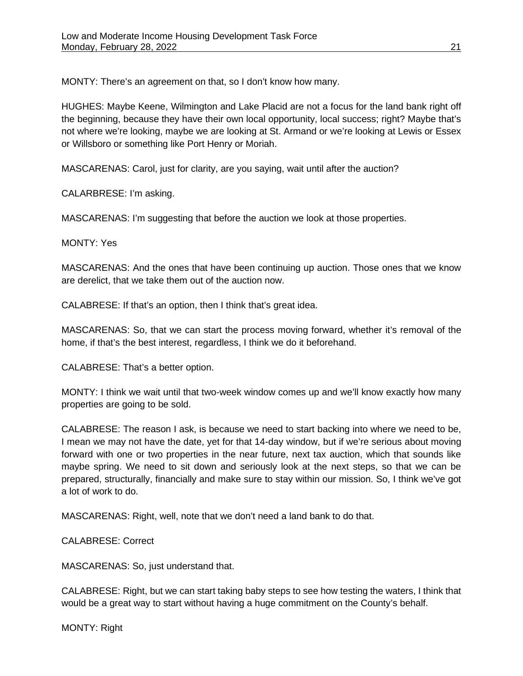MONTY: There's an agreement on that, so I don't know how many.

HUGHES: Maybe Keene, Wilmington and Lake Placid are not a focus for the land bank right off the beginning, because they have their own local opportunity, local success; right? Maybe that's not where we're looking, maybe we are looking at St. Armand or we're looking at Lewis or Essex or Willsboro or something like Port Henry or Moriah.

MASCARENAS: Carol, just for clarity, are you saying, wait until after the auction?

CALARBRESE: I'm asking.

MASCARENAS: I'm suggesting that before the auction we look at those properties.

### MONTY: Yes

MASCARENAS: And the ones that have been continuing up auction. Those ones that we know are derelict, that we take them out of the auction now.

CALABRESE: If that's an option, then I think that's great idea.

MASCARENAS: So, that we can start the process moving forward, whether it's removal of the home, if that's the best interest, regardless, I think we do it beforehand.

CALABRESE: That's a better option.

MONTY: I think we wait until that two-week window comes up and we'll know exactly how many properties are going to be sold.

CALABRESE: The reason I ask, is because we need to start backing into where we need to be, I mean we may not have the date, yet for that 14-day window, but if we're serious about moving forward with one or two properties in the near future, next tax auction, which that sounds like maybe spring. We need to sit down and seriously look at the next steps, so that we can be prepared, structurally, financially and make sure to stay within our mission. So, I think we've got a lot of work to do.

MASCARENAS: Right, well, note that we don't need a land bank to do that.

CALABRESE: Correct

MASCARENAS: So, just understand that.

CALABRESE: Right, but we can start taking baby steps to see how testing the waters, I think that would be a great way to start without having a huge commitment on the County's behalf.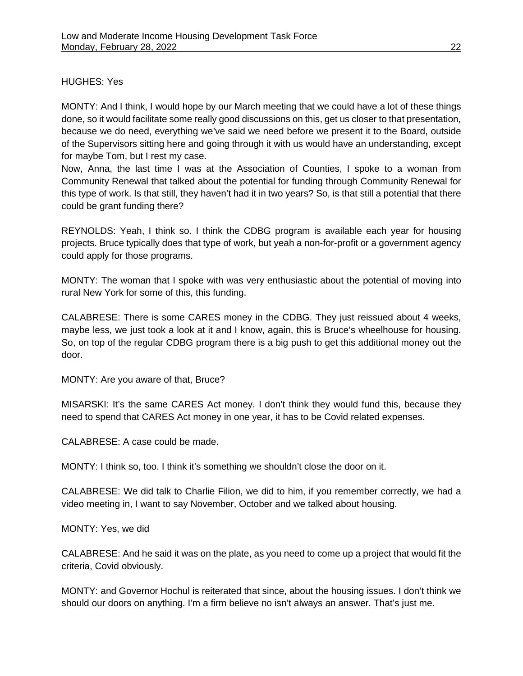### HUGHES: Yes

MONTY: And I think, I would hope by our March meeting that we could have a lot of these things done, so it would facilitate some really good discussions on this, get us closer to that presentation, because we do need, everything we've said we need before we present it to the Board, outside of the Supervisors sitting here and going through it with us would have an understanding, except for maybe Tom, but I rest my case.

Now, Anna, the last time I was at the Association of Counties, I spoke to a woman from Community Renewal that talked about the potential for funding through Community Renewal for this type of work. Is that still, they haven't had it in two years? So, is that still a potential that there could be grant funding there?

REYNOLDS: Yeah, I think so. I think the CDBG program is available each year for housing projects. Bruce typically does that type of work, but yeah a non-for-profit or a government agency could apply for those programs.

MONTY: The woman that I spoke with was very enthusiastic about the potential of moving into rural New York for some of this, this funding.

CALABRESE: There is some CARES money in the CDBG. They just reissued about 4 weeks, maybe less, we just took a look at it and I know, again, this is Bruce's wheelhouse for housing. So, on top of the regular CDBG program there is a big push to get this additional money out the door.

MONTY: Are you aware of that, Bruce?

MISARSKI: It's the same CARES Act money. I don't think they would fund this, because they need to spend that CARES Act money in one year, it has to be Covid related expenses.

CALABRESE: A case could be made.

MONTY: I think so, too. I think it's something we shouldn't close the door on it.

CALABRESE: We did talk to Charlie Filion, we did to him, if you remember correctly, we had a video meeting in, I want to say November, October and we talked about housing.

MONTY: Yes, we did

CALABRESE: And he said it was on the plate, as you need to come up a project that would fit the criteria, Covid obviously.

MONTY: and Governor Hochul is reiterated that since, about the housing issues. I don't think we should our doors on anything. I'm a firm believe no isn't always an answer. That's just me.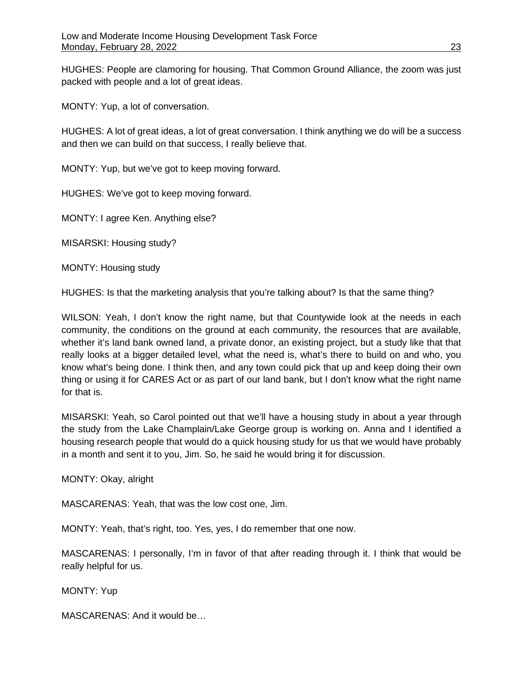HUGHES: People are clamoring for housing. That Common Ground Alliance, the zoom was just packed with people and a lot of great ideas.

MONTY: Yup, a lot of conversation.

HUGHES: A lot of great ideas, a lot of great conversation. I think anything we do will be a success and then we can build on that success, I really believe that.

MONTY: Yup, but we've got to keep moving forward.

HUGHES: We've got to keep moving forward.

MONTY: I agree Ken. Anything else?

MISARSKI: Housing study?

MONTY: Housing study

HUGHES: Is that the marketing analysis that you're talking about? Is that the same thing?

WILSON: Yeah, I don't know the right name, but that Countywide look at the needs in each community, the conditions on the ground at each community, the resources that are available, whether it's land bank owned land, a private donor, an existing project, but a study like that that really looks at a bigger detailed level, what the need is, what's there to build on and who, you know what's being done. I think then, and any town could pick that up and keep doing their own thing or using it for CARES Act or as part of our land bank, but I don't know what the right name for that is.

MISARSKI: Yeah, so Carol pointed out that we'll have a housing study in about a year through the study from the Lake Champlain/Lake George group is working on. Anna and I identified a housing research people that would do a quick housing study for us that we would have probably in a month and sent it to you, Jim. So, he said he would bring it for discussion.

MONTY: Okay, alright

MASCARENAS: Yeah, that was the low cost one, Jim.

MONTY: Yeah, that's right, too. Yes, yes, I do remember that one now.

MASCARENAS: I personally, I'm in favor of that after reading through it. I think that would be really helpful for us.

MONTY: Yup

MASCARENAS: And it would be…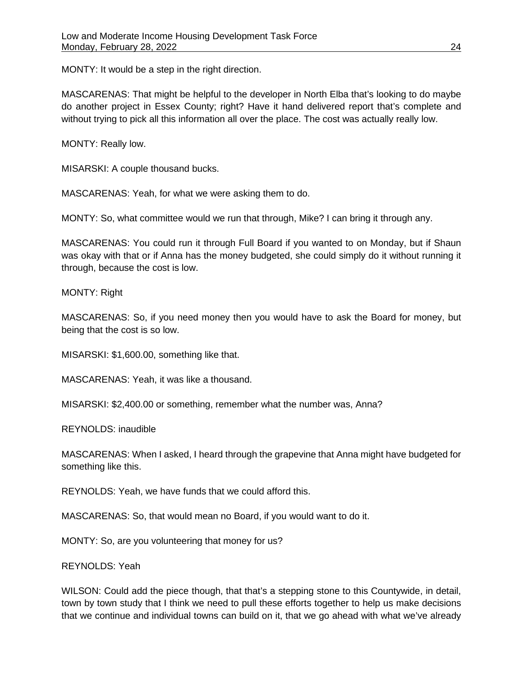MONTY: It would be a step in the right direction.

MASCARENAS: That might be helpful to the developer in North Elba that's looking to do maybe do another project in Essex County; right? Have it hand delivered report that's complete and without trying to pick all this information all over the place. The cost was actually really low.

MONTY: Really low.

MISARSKI: A couple thousand bucks.

MASCARENAS: Yeah, for what we were asking them to do.

MONTY: So, what committee would we run that through, Mike? I can bring it through any.

MASCARENAS: You could run it through Full Board if you wanted to on Monday, but if Shaun was okay with that or if Anna has the money budgeted, she could simply do it without running it through, because the cost is low.

MONTY: Right

MASCARENAS: So, if you need money then you would have to ask the Board for money, but being that the cost is so low.

MISARSKI: \$1,600.00, something like that.

MASCARENAS: Yeah, it was like a thousand.

MISARSKI: \$2,400.00 or something, remember what the number was, Anna?

REYNOLDS: inaudible

MASCARENAS: When I asked, I heard through the grapevine that Anna might have budgeted for something like this.

REYNOLDS: Yeah, we have funds that we could afford this.

MASCARENAS: So, that would mean no Board, if you would want to do it.

MONTY: So, are you volunteering that money for us?

REYNOLDS: Yeah

WILSON: Could add the piece though, that that's a stepping stone to this Countywide, in detail, town by town study that I think we need to pull these efforts together to help us make decisions that we continue and individual towns can build on it, that we go ahead with what we've already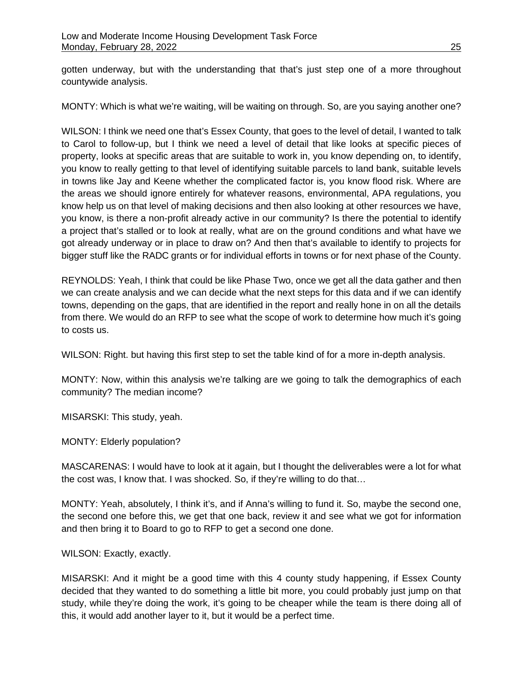gotten underway, but with the understanding that that's just step one of a more throughout countywide analysis.

MONTY: Which is what we're waiting, will be waiting on through. So, are you saying another one?

WILSON: I think we need one that's Essex County, that goes to the level of detail, I wanted to talk to Carol to follow-up, but I think we need a level of detail that like looks at specific pieces of property, looks at specific areas that are suitable to work in, you know depending on, to identify, you know to really getting to that level of identifying suitable parcels to land bank, suitable levels in towns like Jay and Keene whether the complicated factor is, you know flood risk. Where are the areas we should ignore entirely for whatever reasons, environmental, APA regulations, you know help us on that level of making decisions and then also looking at other resources we have, you know, is there a non-profit already active in our community? Is there the potential to identify a project that's stalled or to look at really, what are on the ground conditions and what have we got already underway or in place to draw on? And then that's available to identify to projects for bigger stuff like the RADC grants or for individual efforts in towns or for next phase of the County.

REYNOLDS: Yeah, I think that could be like Phase Two, once we get all the data gather and then we can create analysis and we can decide what the next steps for this data and if we can identify towns, depending on the gaps, that are identified in the report and really hone in on all the details from there. We would do an RFP to see what the scope of work to determine how much it's going to costs us.

WILSON: Right. but having this first step to set the table kind of for a more in-depth analysis.

MONTY: Now, within this analysis we're talking are we going to talk the demographics of each community? The median income?

MISARSKI: This study, yeah.

MONTY: Elderly population?

MASCARENAS: I would have to look at it again, but I thought the deliverables were a lot for what the cost was, I know that. I was shocked. So, if they're willing to do that…

MONTY: Yeah, absolutely, I think it's, and if Anna's willing to fund it. So, maybe the second one, the second one before this, we get that one back, review it and see what we got for information and then bring it to Board to go to RFP to get a second one done.

WILSON: Exactly, exactly.

MISARSKI: And it might be a good time with this 4 county study happening, if Essex County decided that they wanted to do something a little bit more, you could probably just jump on that study, while they're doing the work, it's going to be cheaper while the team is there doing all of this, it would add another layer to it, but it would be a perfect time.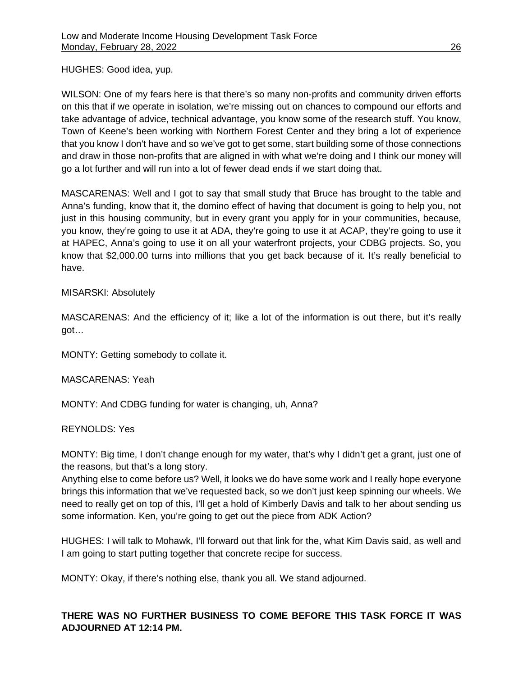HUGHES: Good idea, yup.

WILSON: One of my fears here is that there's so many non-profits and community driven efforts on this that if we operate in isolation, we're missing out on chances to compound our efforts and take advantage of advice, technical advantage, you know some of the research stuff. You know, Town of Keene's been working with Northern Forest Center and they bring a lot of experience that you know I don't have and so we've got to get some, start building some of those connections and draw in those non-profits that are aligned in with what we're doing and I think our money will go a lot further and will run into a lot of fewer dead ends if we start doing that.

MASCARENAS: Well and I got to say that small study that Bruce has brought to the table and Anna's funding, know that it, the domino effect of having that document is going to help you, not just in this housing community, but in every grant you apply for in your communities, because, you know, they're going to use it at ADA, they're going to use it at ACAP, they're going to use it at HAPEC, Anna's going to use it on all your waterfront projects, your CDBG projects. So, you know that \$2,000.00 turns into millions that you get back because of it. It's really beneficial to have.

## MISARSKI: Absolutely

MASCARENAS: And the efficiency of it; like a lot of the information is out there, but it's really got…

MONTY: Getting somebody to collate it.

MASCARENAS: Yeah

MONTY: And CDBG funding for water is changing, uh, Anna?

## REYNOLDS: Yes

MONTY: Big time, I don't change enough for my water, that's why I didn't get a grant, just one of the reasons, but that's a long story.

Anything else to come before us? Well, it looks we do have some work and I really hope everyone brings this information that we've requested back, so we don't just keep spinning our wheels. We need to really get on top of this, I'll get a hold of Kimberly Davis and talk to her about sending us some information. Ken, you're going to get out the piece from ADK Action?

HUGHES: I will talk to Mohawk, I'll forward out that link for the, what Kim Davis said, as well and I am going to start putting together that concrete recipe for success.

MONTY: Okay, if there's nothing else, thank you all. We stand adjourned.

# **THERE WAS NO FURTHER BUSINESS TO COME BEFORE THIS TASK FORCE IT WAS ADJOURNED AT 12:14 PM.**